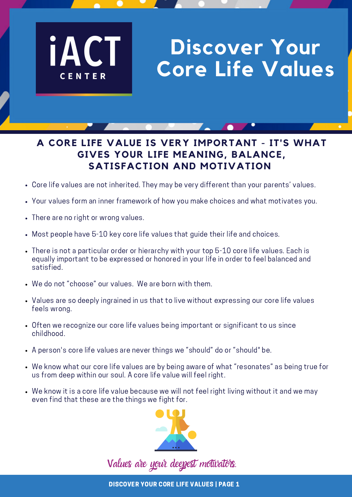# **Discover Your Core Life Values**

## **A CORE LIFE VALUE IS VERY IMPORTANT - IT'S WHAT GIVES YOUR LIFE MEANING, BALANCE, SATISFACTION AND MOTIVATION**

- Core life values are not inherited. They may be very different than your parents' values.
- Your values form an inner framework of how you make choices and what motivates you.
- There are no right or wrong values.

**iAC** 

CENTER

- Most people have 5-10 key core life values that guide their life and choices.
- There is not a particular order or hierarchy with your top 5-10 core life values. Each is equally important to be expressed or honored in your life in order to feel balanced and satisfied.
- We do not "choose" our values. We are born with them.
- Values are so deeply ingrained in us that to live without expressing our core life values feels wrong.
- Often we recognize our core life values being important or significant to us since childhood.
- A person's core life values are never things we "should" do or "should" be.
- We know what our core life values are by being aware of what "resonates" as being true for us from deep within our soul. A core life value will feel right.
- We know it is a core life value because we will not feel right living without it and we may even find that these are the things we fight for.



Values are your deepest motivators.

DISCOVER YOUR CORE LIFE VALUES | PAGE 1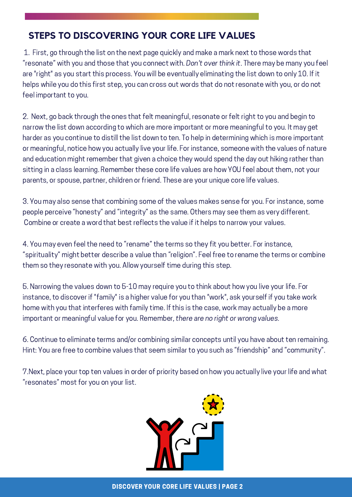### **STEPS TO DISCOVERING YOUR CORE LIFE VALUES**

1. First, go through the list on the next page quickly and make a mark next to those words that "resonate" with you and those that you connect with. Don't over think it. There may be many you feel are "right" as you start this process. You will be eventually eliminating the list down to only 10. If it helps while you do this first step, you can cross out words that do not resonate with you, or do not feel important to you.

2. Next, go back through the ones that felt meaningful, resonate or felt right to you and begin to narrow the list down according to which are more important or more meaningful to you. It may get harder as you continue to distill the list down to ten. To help in determining which is more important or meaningful, notice how you actually live your life. For instance, someone with the values of nature and education might remember that given a choice they would spend the day out hiking rather than sitting in a class learning. Remember these core life values are how YOU feel about them, not your parents, or spouse, partner, children or friend. These are your unique core life values.

3. You may also sense that combining some of the values makes sense for you. For instance, some people perceive "honesty" and "integrity" as the same. Others may see them as very different. Combine or create a word that best reflects the value if it helps to narrow your values.

4. You may even feel the need to "rename" the terms so they fit you better. For instance, "spirituality" might better describe a value than "religion". Feel free to rename the terms or combine them so they resonate with you. Allow yourself time during this step.

5. Narrowing the values down to 5-10 may require you to think about how you live your life. For instance, to discover if "family" is a higher value for you than "work", ask yourself if you take work home with you that interferes with family time. If this is the case, work may actually be a more important or meaningful value for you. Remember, there are no right or wrong values.

6. Continue to eliminate terms and/or combining similar concepts until you have about ten remaining. Hint: You are free to combine values that seem similar to you such as "friendship" and "community".

7.Next, place your top ten values in order of priority based on how you actually live your life and what "resonates" most for you on your list.

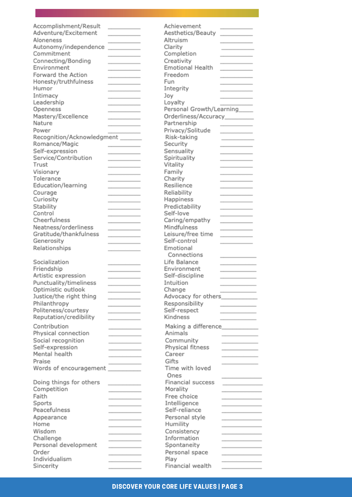| Accomplishment/Result            |                                       | Achievement                     |                                                      |
|----------------------------------|---------------------------------------|---------------------------------|------------------------------------------------------|
| Adventure/Excitement             |                                       | Aesthetics/Beauty               |                                                      |
|                                  |                                       |                                 | and the control of the con-                          |
| Aloneness                        |                                       | Altruism                        |                                                      |
| Autonomy/independence            | the control of the control of         | Clarity                         |                                                      |
| Commitment                       | and the control of the control of the | Completion                      | and the control of the control of the                |
| Connecting/Bonding               | ______                                | Creativity                      | _______                                              |
| Environment                      | the control of the control of the     | Emotional Health                |                                                      |
| Forward the Action               |                                       | Freedom                         |                                                      |
| Honesty/truthfulness             | and the control of the control of     | Fun                             | and the control of the control of the                |
| Humor                            | the control of the control of         |                                 |                                                      |
|                                  | ______                                | Integrity                       | and the control of the control of the con-           |
| Intimacy                         | the contract of the contract of       | Joy                             |                                                      |
| Leadership                       | and the control of the control of     | Loyalty                         |                                                      |
| Openness                         |                                       | Personal Growth/Learning        |                                                      |
| Mastery/Excellence               |                                       | Orderliness/Accuracy________    |                                                      |
| Nature                           |                                       | Partnership                     |                                                      |
| Power                            |                                       | Privacy/Solitude                |                                                      |
| Recognition/Acknowledgment _____ |                                       | Risk-taking                     |                                                      |
|                                  |                                       |                                 |                                                      |
| Romance/Magic                    | <b>Contract Contract</b>              | Security                        |                                                      |
| Self-expression                  |                                       | Sensuality                      |                                                      |
| Service/Contribution             |                                       | Spirituality                    |                                                      |
| Trust                            | the control of the control of the     | Vitality                        |                                                      |
| Visionary                        |                                       | Family                          |                                                      |
| Tolerance                        |                                       | Charity                         |                                                      |
| Education/learning               |                                       | Resilience                      |                                                      |
|                                  |                                       |                                 |                                                      |
| Courage                          |                                       | Reliability                     |                                                      |
| Curiosity                        |                                       | Happiness                       |                                                      |
| Stability                        |                                       | Predictability                  |                                                      |
| Control                          | the control of the control of the     | Self-love                       | the contract of the contract of the                  |
| Cheerfulness                     | the control of the control of the     | Caring/empathy                  | and the control of the control of                    |
| Neatness/orderliness             | the control of the control of the     | Mindfulness                     | and the control of the control of                    |
| Gratitude/thankfulness           |                                       | Leisure/free time               |                                                      |
| Generosity                       | and the control of the control of     | Self-control                    | <b>Contract Contract Contract</b>                    |
| Relationships                    |                                       | Emotional                       |                                                      |
|                                  |                                       | Connections                     |                                                      |
|                                  |                                       |                                 | and the control of the control of the                |
| Socialization                    | the control of the control of         | Life Balance                    | the contract of the contract of the contract of      |
| Friendship                       |                                       | Environment                     |                                                      |
| Artistic expression              |                                       | Self-discipline                 |                                                      |
| Punctuality/timeliness           |                                       | Intuition                       |                                                      |
| Optimistic outlook               |                                       | Change                          |                                                      |
| Justice/the right thing          | <b>Contract Contract Contract</b>     | Advocacy for others____________ |                                                      |
| Philanthropy                     |                                       | Responsibility                  |                                                      |
| Politeness/courtesy              | and the control of the con-           | Self-respect                    | and the control of the con-                          |
|                                  | _____                                 |                                 | ______                                               |
| Reputation/credibility           | <b>Contract Contract Contract</b>     | Kindness                        | <u> The Communication of the Communication</u>       |
| Contribution                     |                                       |                                 |                                                      |
| Physical connection              | and the control of the control of     | Animals                         |                                                      |
| Social recognition               |                                       | Community                       |                                                      |
| Self-expression                  | and the control of the control of     | Physical fitness                | and the control of the control of the                |
| Mental health                    | the control of the control of         | Career                          | and the control of the control of                    |
|                                  | and the control of the control of     |                                 | and the control of the control of the control of the |
| Praise                           | and the control of the control of     | Gifts                           |                                                      |
| Words of encouragement           |                                       | Time with loved                 |                                                      |
|                                  |                                       | Ones                            | the control of the control of the                    |
| Doing things for others          |                                       | Financial success               | the control of the control of the                    |
| Competition                      |                                       | Morality                        |                                                      |
| Faith                            |                                       | Free choice                     |                                                      |
| Sports                           | and the control of the control of     | Intelligence                    | and the control of the control of the                |
| Peacefulness                     |                                       | Self-reliance                   |                                                      |
|                                  |                                       |                                 |                                                      |
| Appearance                       |                                       | Personal style                  |                                                      |
| Home                             |                                       | Humility                        |                                                      |
| Wisdom                           |                                       | Consistency                     |                                                      |
| Challenge                        | the contract of the contract of       | Information                     |                                                      |
| Personal development             | and the contract of the con-          | Spontaneity                     |                                                      |
| Order                            |                                       | Personal space                  |                                                      |
| Individualism                    |                                       | Play                            |                                                      |
| Sincerity                        |                                       | Financial wealth                |                                                      |
|                                  |                                       |                                 |                                                      |

#### DISCOVER YOUR CORE LIFE VALUES | PAGE 3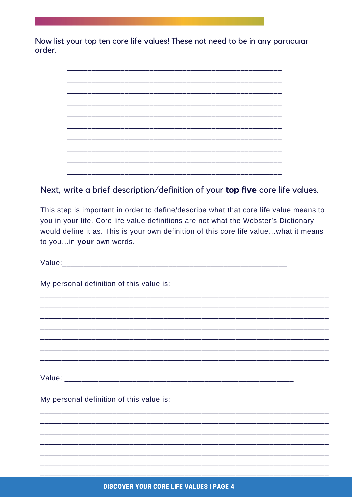Now list your top ten core life values! These not need to be in any particular order.

#### Next, write a brief description/definition of your top five core life values.

This step is important in order to define/describe what that core life value means to you in your life. Core life value definitions are not what the Webster's Dictionary would define it as. This is your own definition of this core life value...what it means to you...in your own words.

| My personal definition of this value is: |  |
|------------------------------------------|--|
|                                          |  |
|                                          |  |
|                                          |  |
|                                          |  |
|                                          |  |
|                                          |  |
|                                          |  |
| My personal definition of this value is: |  |
|                                          |  |
|                                          |  |
|                                          |  |
|                                          |  |
|                                          |  |